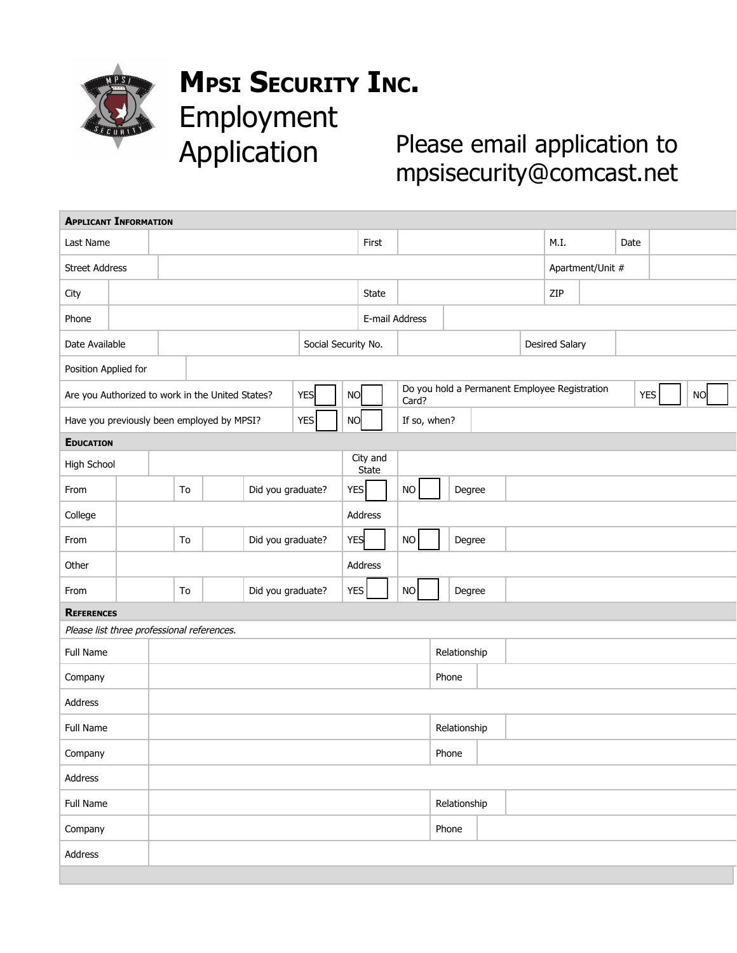

## **MPSI SECURITY INC.** Employment Application

Please email application to mpsisecurity@comcast.net

| <b>APPLICANT INFORMATION</b>                                   |  |  |                                            |  |                   |  |                                                                     |                     |              |  |                |              |        |                  |                       |      |     |            |           |  |  |  |  |
|----------------------------------------------------------------|--|--|--------------------------------------------|--|-------------------|--|---------------------------------------------------------------------|---------------------|--------------|--|----------------|--------------|--------|------------------|-----------------------|------|-----|------------|-----------|--|--|--|--|
| Last Name                                                      |  |  |                                            |  |                   |  |                                                                     |                     | First        |  |                |              |        |                  |                       | M.I. |     | Date       |           |  |  |  |  |
| <b>Street Address</b>                                          |  |  |                                            |  |                   |  |                                                                     |                     |              |  |                |              |        | Apartment/Unit # |                       |      |     |            |           |  |  |  |  |
| City                                                           |  |  |                                            |  |                   |  |                                                                     |                     | <b>State</b> |  |                |              |        |                  |                       |      | ZIP |            |           |  |  |  |  |
| Phone                                                          |  |  |                                            |  |                   |  |                                                                     |                     |              |  | E-mail Address |              |        |                  |                       |      |     |            |           |  |  |  |  |
| Date Available                                                 |  |  |                                            |  |                   |  |                                                                     | Social Security No. |              |  |                |              |        |                  | <b>Desired Salary</b> |      |     |            |           |  |  |  |  |
| Position Applied for                                           |  |  |                                            |  |                   |  |                                                                     |                     |              |  |                |              |        |                  |                       |      |     |            |           |  |  |  |  |
| <b>YES</b><br>Are you Authorized to work in the United States? |  |  |                                            |  |                   |  | Do you hold a Permanent Employee Registration<br><b>NO</b><br>Card? |                     |              |  |                |              |        |                  |                       |      |     | <b>YES</b> | <b>NO</b> |  |  |  |  |
|                                                                |  |  | Have you previously been employed by MPSI? |  |                   |  | <b>YES</b>                                                          | <b>NO</b>           |              |  |                | If so, when? |        |                  |                       |      |     |            |           |  |  |  |  |
| <b>EDUCATION</b>                                               |  |  |                                            |  |                   |  |                                                                     |                     |              |  |                |              |        |                  |                       |      |     |            |           |  |  |  |  |
| High School                                                    |  |  |                                            |  |                   |  |                                                                     | City and<br>State   |              |  |                |              |        |                  |                       |      |     |            |           |  |  |  |  |
| From                                                           |  |  | To                                         |  | Did you graduate? |  |                                                                     | <b>YES</b>          |              |  | <b>NO</b>      |              | Degree |                  |                       |      |     |            |           |  |  |  |  |
| College                                                        |  |  |                                            |  |                   |  |                                                                     |                     | Address      |  |                |              |        |                  |                       |      |     |            |           |  |  |  |  |
| From                                                           |  |  | To                                         |  | Did you graduate? |  |                                                                     | <b>YES</b>          |              |  | NO             | Degree       |        |                  |                       |      |     |            |           |  |  |  |  |
| Other                                                          |  |  |                                            |  |                   |  |                                                                     |                     | Address      |  |                |              |        |                  |                       |      |     |            |           |  |  |  |  |
| From                                                           |  |  | To                                         |  | Did you graduate? |  |                                                                     | <b>YES</b>          |              |  | <b>NO</b>      |              | Degree |                  |                       |      |     |            |           |  |  |  |  |
| <b>REFERENCES</b>                                              |  |  |                                            |  |                   |  |                                                                     |                     |              |  |                |              |        |                  |                       |      |     |            |           |  |  |  |  |
| Please list three professional references.                     |  |  |                                            |  |                   |  |                                                                     |                     |              |  |                |              |        |                  |                       |      |     |            |           |  |  |  |  |
| Full Name                                                      |  |  |                                            |  |                   |  |                                                                     |                     |              |  |                | Relationship |        |                  |                       |      |     |            |           |  |  |  |  |
| Company                                                        |  |  |                                            |  |                   |  |                                                                     |                     | Phone        |  |                |              |        |                  |                       |      |     |            |           |  |  |  |  |
| Address                                                        |  |  |                                            |  |                   |  |                                                                     |                     |              |  |                |              |        |                  |                       |      |     |            |           |  |  |  |  |
| Full Name                                                      |  |  |                                            |  |                   |  | Relationship                                                        |                     |              |  |                |              |        |                  |                       |      |     |            |           |  |  |  |  |
| Company                                                        |  |  |                                            |  |                   |  |                                                                     |                     |              |  |                | Phone        |        |                  |                       |      |     |            |           |  |  |  |  |
| Address                                                        |  |  |                                            |  |                   |  |                                                                     |                     |              |  |                |              |        |                  |                       |      |     |            |           |  |  |  |  |
| Full Name                                                      |  |  |                                            |  |                   |  |                                                                     |                     |              |  | Relationship   |              |        |                  |                       |      |     |            |           |  |  |  |  |
| Company                                                        |  |  |                                            |  |                   |  |                                                                     |                     |              |  |                | Phone        |        |                  |                       |      |     |            |           |  |  |  |  |
| Address                                                        |  |  |                                            |  |                   |  |                                                                     |                     |              |  |                |              |        |                  |                       |      |     |            |           |  |  |  |  |
|                                                                |  |  |                                            |  |                   |  |                                                                     |                     |              |  |                |              |        |                  |                       |      |     |            |           |  |  |  |  |